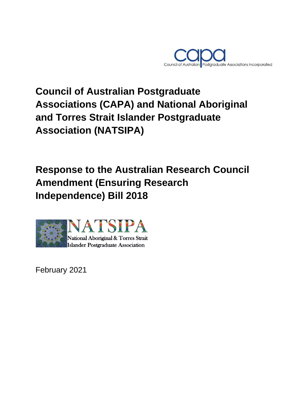

# **Council of Australian Postgraduate Associations (CAPA) and National Aboriginal and Torres Strait Islander Postgraduate Association (NATSIPA)**

## **Response to the Australian Research Council Amendment (Ensuring Research Independence) Bill 2018**



February 2021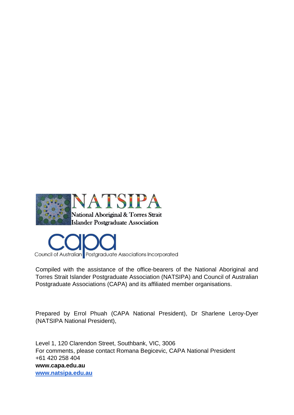



Compiled with the assistance of the office-bearers of the National Aboriginal and Torres Strait Islander Postgraduate Association (NATSIPA) and Council of Australian Postgraduate Associations (CAPA) and its affiliated member organisations.

Prepared by Errol Phuah (CAPA National President), Dr Sharlene Leroy-Dyer (NATSIPA National President),

Level 1, 120 Clarendon Street, Southbank, VIC, 3006 For comments, please contact Romana Begicevic, CAPA National President +61 420 258 404 **www.capa.edu.au [www.natsipa.edu.au](http://www.natsipa.edu.au/)**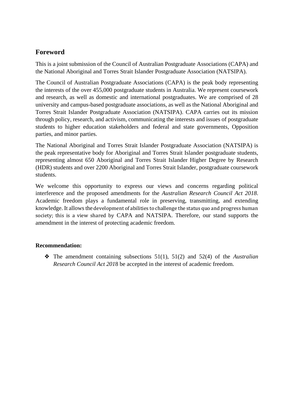### **Foreword**

This is a joint submission of the Council of Australian Postgraduate Associations (CAPA) and the National Aboriginal and Torres Strait Islander Postgraduate Association (NATSIPA).

The Council of Australian Postgraduate Associations (CAPA) is the peak body representing the interests of the over 455,000 postgraduate students in Australia. We represent coursework and research, as well as domestic and international postgraduates. We are comprised of 28 university and campus-based postgraduate associations, as well as the National Aboriginal and Torres Strait Islander Postgraduate Association (NATSIPA). CAPA carries out its mission through policy, research, and activism, communicating the interests and issues of postgraduate students to higher education stakeholders and federal and state governments, Opposition parties, and minor parties.

The National Aboriginal and Torres Strait Islander Postgraduate Association (NATSIPA) is the peak representative body for Aboriginal and Torres Strait Islander postgraduate students, representing almost 650 Aboriginal and Torres Strait Islander Higher Degree by Research (HDR) students and over 2200 Aboriginal and Torres Strait Islander, postgraduate coursework students.

We welcome this opportunity to express our views and concerns regarding political interference and the proposed amendments for the *Australian Research Council Act 2018*. Academic freedom plays a fundamental role in preserving, transmitting, and extending knowledge. It allows the development of abilities to challenge the status quo and progress human society; this is a view shared by CAPA and NATSIPA. Therefore, our stand supports the amendment in the interest of protecting academic freedom.

### **Recommendation:**

❖ The amendment containing subsections 51(1), 51(2) and 52(4) of the *Australian Research Council Act 201*8 be accepted in the interest of academic freedom.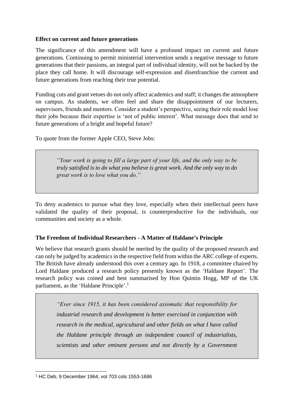#### **Effect on current and future generations**

The significance of this amendment will have a profound impact on current and future generations. Continuing to permit ministerial intervention sends a negative message to future generations that their passions, an integral part of individual identity, will not be backed by the place they call home. It will discourage self-expression and disenfranchise the current and future generations from reaching their true potential.

Funding cuts and grant vetoes do not only affect academics and staff; it changes the atmosphere on campus. As students, we often feel and share the disappointment of our lecturers, supervisors, friends and mentors. Consider a student's perspective, seeing their role model lose their jobs because their expertise is 'not of public interest'. What message does that send to future generations of a bright and hopeful future?

To quote from the former Apple CEO, Steve Jobs:

*"Your work is going to fill a large part of your life, and the only way to be truly satisfied is to do what you believe is great work. And the only way to do great work is to love what you do."* 

To deny academics to pursue what they love, especially when their intellectual peers have validated the quality of their proposal, is counterproductive for the individuals, our communities and society as a whole.

#### **The Freedom of Individual Researchers - A Matter of Haldane's Principle**

We believe that research grants should be merited by the quality of the proposed research and can only be judged by academics in the respective field from within the ARC college of experts. The British have already understood this over a century ago. In 1918, a committee chaired by Lord Haldane produced a research policy presently known as the 'Haldane Report'. The research policy was coined and best summarised by Hon Quintin Hogg, MP of the UK parliament, as the 'Haldane Principle'.<sup>1</sup>

*"Ever since 1915, it has been considered axiomatic that responsibility for industrial research and development is better exercised in conjunction with research in the medical, agricultural and other fields on what I have called the Haldane principle through an independent council of industrialists, scientists and other eminent persons and not directly by a Government* 

<sup>1</sup> <sup>1</sup> HC Deb, 9 December 1964, vol 703 cols 1553-1686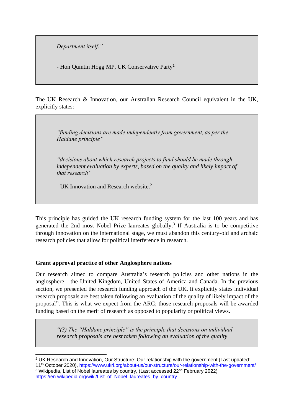*Department itself."*

*-* Hon Quintin Hogg MP, UK Conservative Party<sup>1</sup>

The UK Research & Innovation, our Australian Research Council equivalent in the UK, explicitly states:

*"funding decisions are made independently from government, as per the Haldane principle"* 

*"decisions about which research projects to fund should be made through independent evaluation by experts, based on the quality and likely impact of that research"*

- UK Innovation and Research website.<sup>2</sup>

This principle has guided the UK research funding system for the last 100 years and has generated the 2nd most Nobel Prize laureates globally. 3 If Australia is to be competitive through innovation on the international stage, we must abandon this century-old and archaic research policies that allow for political interference in research.

#### **Grant approval practice of other Anglosphere nations**

Our research aimed to compare Australia's research policies and other nations in the anglosphere - the United Kingdom, United States of America and Canada. In the previous section, we presented the research funding approach of the UK. It explicitly states individual research proposals are best taken following an evaluation of the quality of likely impact of the proposal". This is what we expect from the ARC; those research proposals will be awarded funding based on the merit of research as opposed to popularity or political views.

*"(3) The "Haldane principle" is the principle that decisions on individual research proposals are best taken following an evaluation of the quality* 

<sup>1</sup> <sup>2</sup> UK Research and Innovation, Our Structure: Our relationship with the government (Last updated:

<sup>11</sup>th October 2020),<https://www.ukri.org/about-us/our-structure/our-relationship-with-the-government/> <sup>3</sup> Wikipedia, List of Nobel laureates by country, (Last accessed 22<sup>nd</sup> February 2022) [https://en.wikipedia.org/wiki/List\\_of\\_Nobel\\_laureates\\_by\\_country](https://en.wikipedia.org/wiki/List_of_Nobel_laureates_by_country)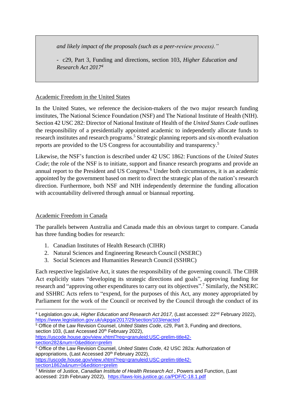*and likely impact of the proposals (such as a peer-review process)."*

- c29, Part 3, Funding and directions, section 103, *Higher Education and Research Act 2017<sup>4</sup>*

#### Academic Freedom in the United States

In the United States, we reference the decision-makers of the two major research funding institutes, The National Science Foundation (NSF) and The National Institute of Health (NIH). Section 42 USC 282: Director of National Institute of Health of the *United States Code* outlines the responsibility of a presidentially appointed academic to independently allocate funds to research institutes and research programs.<sup>5</sup> Strategic planning reports and six-month evaluation reports are provided to the US Congress for accountability and transparency.<sup>5</sup>

Likewise, the NSF's function is described under 42 USC 1862: Functions of the *United States Code*; the role of the NSF is to initiate, support and finance research programs and provide an annual report to the President and US Congress.<sup>6</sup> Under both circumstances, it is an academic appointed by the government based on merit to direct the strategic plan of the nation's research direction. Furthermore, both NSF and NIH independently determine the funding allocation with accountability delivered through annual or biannual reporting.

#### Academic Freedom in Canada

The parallels between Australia and Canada made this an obvious target to compare. Canada has three funding bodies for research:

- 1. Canadian Institutes of Health Research (CIHR)
- 2. Natural Sciences and Engineering Research Council (NSERC)
- 3. Social Sciences and Humanities Research Council (SSHRC)

Each respective legislative Act, it states the responsibility of the governing council. The CIHR Act explicitly states "developing its strategic directions and goals", approving funding for research and "approving other expenditures to carry out its objectives".<sup>7</sup> Similarly, the NSERC and SSHRC Acts refers to "expend, for the purposes of this Act, any money appropriated by Parliament for the work of the Council or received by the Council through the conduct of its

[https://uscode.house.gov/view.xhtml?req=granuleid:USC-prelim-title42](https://uscode.house.gov/view.xhtml?req=granuleid:USC-prelim-title42-section282&num=0&edition=prelim) [section282&num=0&edition=prelim](https://uscode.house.gov/view.xhtml?req=granuleid:USC-prelim-title42-section282&num=0&edition=prelim)

[section1862a&num=0&edition=prelim](https://uscode.house.gov/view.xhtml?req=granuleid:USC-prelim-title42-section1862a&num=0&edition=prelim)

1

<sup>4</sup> Legislation.gov.uk, *Higher Education and Research Act 2017,* (Last accessed: 22nd February 2022), <https://www.legislation.gov.uk/ukpga/2017/29/section/103/enacted>

<sup>5</sup> Office of the Law Revision Counsel, *United States Code*, c29, Part 3, Funding and directions, section 103, (Last Accessed 20<sup>th</sup> February 2022),

<sup>&</sup>lt;sup>6</sup> Office of the Law Revision Counsel, United States Code, 42 USC 282a: Authorization of appropriations, (Last Accessed 20<sup>th</sup> February 2022), [https://uscode.house.gov/view.xhtml?req=granuleid:USC-prelim-title42-](https://uscode.house.gov/view.xhtml?req=granuleid:USC-prelim-title42-section1862a&num=0&edition=prelim)

<sup>7</sup> Minister of Justice, *Canadian Institute of Health Research Act* , Powers and Function, (Last accessed: 21th February 2022),<https://laws-lois.justice.gc.ca/PDF/C-18.1.pdf>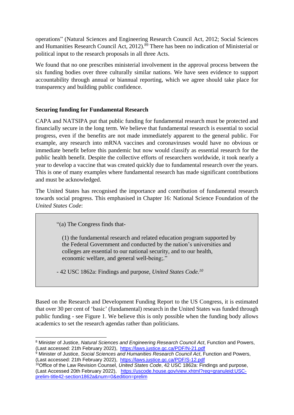operations" (Natural Sciences and Engineering Research Council Act, 2012; Social Sciences and Humanities Research Council Act, 2012).<sup>89</sup> There has been no indication of Ministerial or political input to the research proposals in all three Acts.

We found that no one prescribes ministerial involvement in the approval process between the six funding bodies over three culturally similar nations. We have seen evidence to support accountability through annual or biannual reporting, which we agree should take place for transparency and building public confidence.

#### **Securing funding for Fundamental Research**

CAPA and NATSIPA put that public funding for fundamental research must be protected and financially secure in the long term. We believe that fundamental research is essential to social progress, even if the benefits are not made immediately apparent to the general public. For example, any research into mRNA vaccines and coronaviruses would have no obvious or immediate benefit before this pandemic but now would classify as essential research for the public health benefit. Despite the collective efforts of researchers worldwide, it took nearly a year to develop a vaccine that was created quickly due to fundamental research over the years. This is one of many examples where fundamental research has made significant contributions and must be acknowledged.

The United States has recognised the importance and contribution of fundamental research towards social progress. This emphasised in Chapter 16: National Science Foundation of the *United States Code*:

"(a) The Congress finds that-

(1) the fundamental research and related education program supported by the Federal Government and conducted by the nation's universities and colleges are essential to our national security, and to our health, economic welfare, and general well-being;."

- 42 USC 1862a: Findings and purpose, *United States Code.<sup>10</sup>*

Based on the Research and Development Funding Report to the US Congress, it is estimated that over 30 per cent of 'basic' (fundamental) research in the United States was funded through public funding - see Figure 1. We believe this is only possible when the funding body allows academics to set the research agendas rather than politicians.

<sup>1</sup> <sup>8</sup> Minister of Justice, *Natural Sciences and Engineering Research Council Act*, Function and Powers, (Last accessed: 21th February 2022), <https://laws.justice.gc.ca/PDF/N-21.pdf>

<sup>&</sup>lt;sup>9</sup> Minister of Justice, *Social Sciences and Humanities Research Council Act*, Function and Powers, (Last accessed: 21th February 2022), <https://laws.justice.gc.ca/PDF/S-12.pdf>

<sup>10</sup>Office of the Law Revision Counsel, *United States Code*, 42 USC 1862a: Findings and purpose, (Last Accessed 20th February 2022), [https://uscode.house.gov/view.xhtml?req=granuleid:USC](https://uscode.house.gov/view.xhtml?req=granuleid:USC-prelim-title42-section1862a&num=0&edition=prelim)[prelim-title42-section1862a&num=0&edition=prelim](https://uscode.house.gov/view.xhtml?req=granuleid:USC-prelim-title42-section1862a&num=0&edition=prelim)